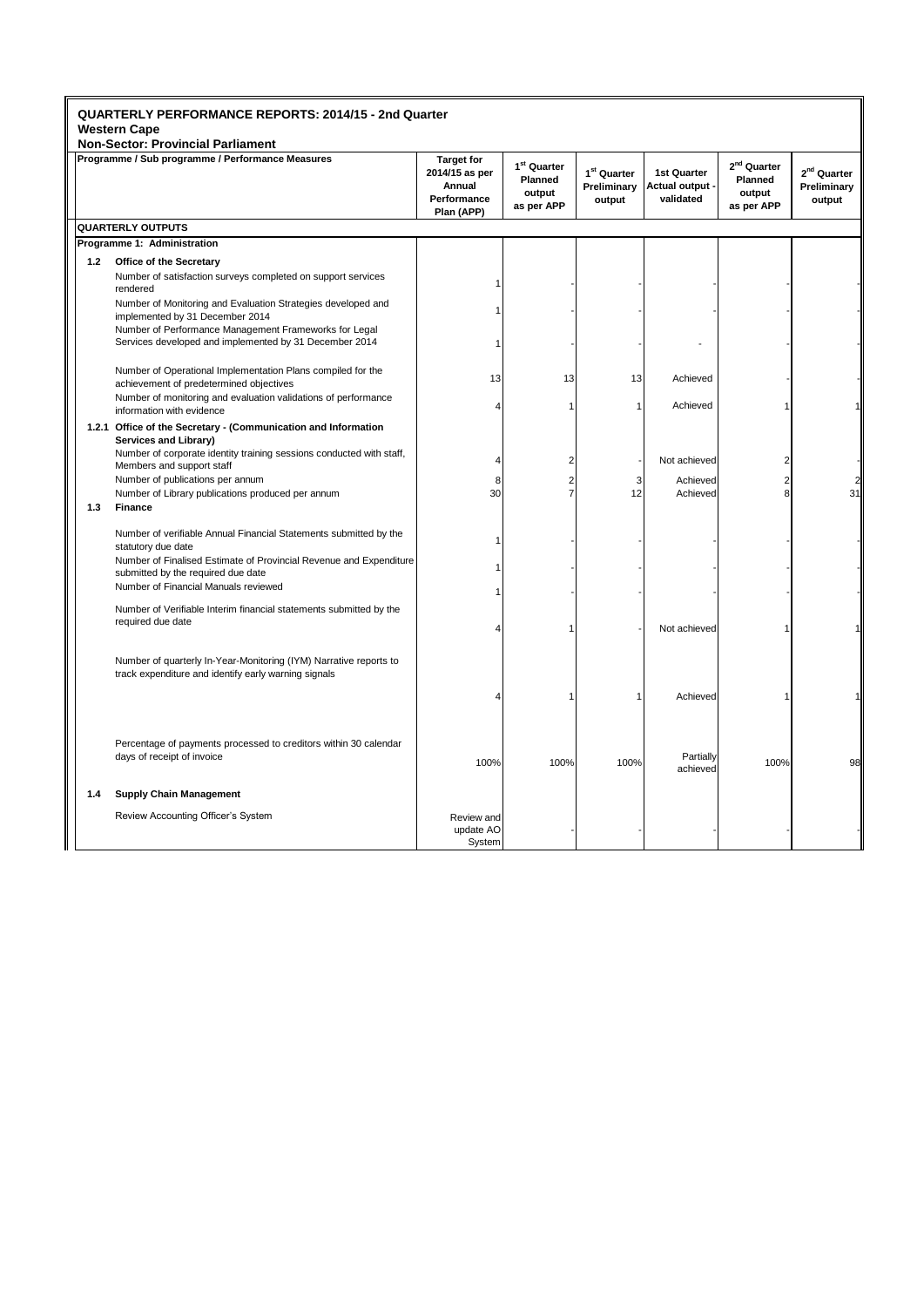|     | <b>Non-Sector: Provincial Parliament</b>                                                                                  |                                                                            |                                                            |                                                  |                                             |                                                            |                                                  |
|-----|---------------------------------------------------------------------------------------------------------------------------|----------------------------------------------------------------------------|------------------------------------------------------------|--------------------------------------------------|---------------------------------------------|------------------------------------------------------------|--------------------------------------------------|
|     | Programme / Sub programme / Performance Measures                                                                          | <b>Target for</b><br>2014/15 as per<br>Annual<br>Performance<br>Plan (APP) | 1 <sup>st</sup> Quarter<br>Planned<br>output<br>as per APP | 1 <sup>st</sup> Quarter<br>Preliminary<br>output | 1st Quarter<br>Actual output -<br>validated | 2 <sup>nd</sup> Quarter<br>Planned<br>output<br>as per APP | 2 <sup>nd</sup> Quarter<br>Preliminary<br>output |
|     | <b>QUARTERLY OUTPUTS</b>                                                                                                  |                                                                            |                                                            |                                                  |                                             |                                                            |                                                  |
|     | Programme 1: Administration                                                                                               |                                                                            |                                                            |                                                  |                                             |                                                            |                                                  |
| 1.2 | Office of the Secretary                                                                                                   |                                                                            |                                                            |                                                  |                                             |                                                            |                                                  |
|     | Number of satisfaction surveys completed on support services<br>rendered                                                  |                                                                            |                                                            |                                                  |                                             |                                                            |                                                  |
|     | Number of Monitoring and Evaluation Strategies developed and<br>implemented by 31 December 2014                           |                                                                            |                                                            |                                                  |                                             |                                                            |                                                  |
|     | Number of Performance Management Frameworks for Legal<br>Services developed and implemented by 31 December 2014           |                                                                            |                                                            |                                                  |                                             |                                                            |                                                  |
|     | Number of Operational Implementation Plans compiled for the<br>achievement of predetermined objectives                    | 13                                                                         | 13                                                         | 13                                               | Achieved                                    |                                                            |                                                  |
|     | Number of monitoring and evaluation validations of performance<br>information with evidence                               |                                                                            |                                                            | $\overline{1}$                                   | Achieved                                    |                                                            |                                                  |
|     | 1.2.1 Office of the Secretary - (Communication and Information<br>Services and Library)                                   |                                                                            |                                                            |                                                  |                                             |                                                            |                                                  |
|     | Number of corporate identity training sessions conducted with staff,<br>Members and support staff                         |                                                                            | $\overline{2}$                                             |                                                  | Not achieved                                | 2                                                          |                                                  |
| 1.3 | Number of publications per annum<br>Number of Library publications produced per annum<br>Finance                          | 8<br>30                                                                    | 7                                                          | 3<br>12                                          | Achieved<br>Achieved                        | 8                                                          | 31                                               |
|     | Number of verifiable Annual Financial Statements submitted by the<br>statutory due date                                   |                                                                            |                                                            |                                                  |                                             |                                                            |                                                  |
|     | Number of Finalised Estimate of Provincial Revenue and Expenditure<br>submitted by the required due date                  |                                                                            |                                                            |                                                  |                                             |                                                            |                                                  |
|     | Number of Financial Manuals reviewed                                                                                      |                                                                            |                                                            |                                                  |                                             |                                                            |                                                  |
|     | Number of Verifiable Interim financial statements submitted by the<br>required due date                                   |                                                                            |                                                            |                                                  | Not achieved                                |                                                            |                                                  |
|     | Number of quarterly In-Year-Monitoring (IYM) Narrative reports to<br>track expenditure and identify early warning signals |                                                                            |                                                            |                                                  |                                             |                                                            |                                                  |
|     |                                                                                                                           |                                                                            |                                                            | 1                                                | Achieved                                    |                                                            |                                                  |
|     | Percentage of payments processed to creditors within 30 calendar<br>days of receipt of invoice                            | 100%                                                                       | 100%                                                       | 100%                                             | Partially<br>achieved                       | 100%                                                       | 98                                               |
| 1.4 | <b>Supply Chain Management</b>                                                                                            |                                                                            |                                                            |                                                  |                                             |                                                            |                                                  |
|     | Review Accounting Officer's System                                                                                        | Review and<br>update AO<br>System                                          |                                                            |                                                  |                                             |                                                            |                                                  |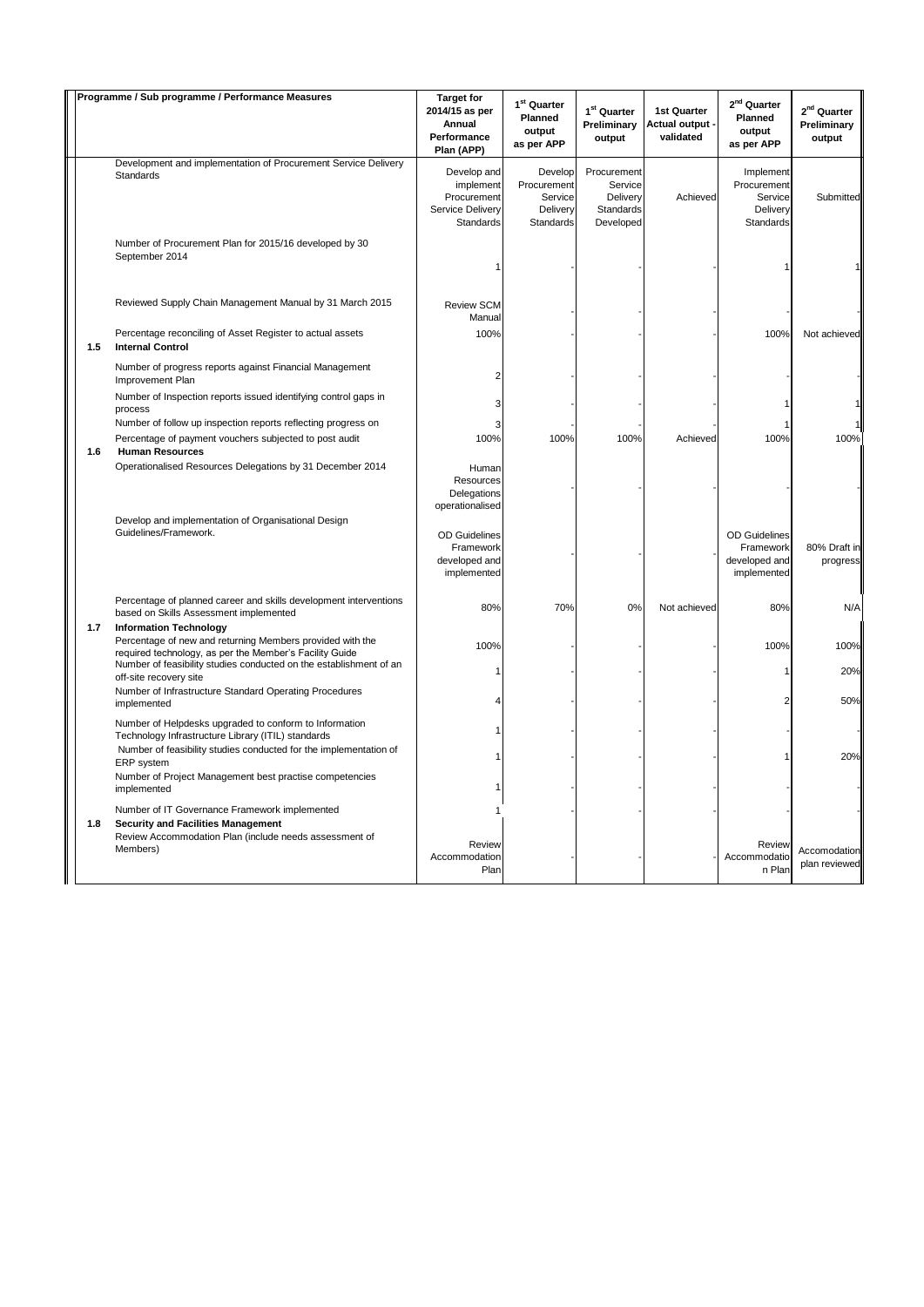|     | Programme / Sub programme / Performance Measures                                                                                                                                                 | <b>Target for</b><br>2014/15 as per<br>Annual<br>Performance<br>Plan (APP) | 1 <sup>st</sup> Quarter<br>Planned<br>output<br>as per APP | 1 <sup>st</sup> Quarter<br>Preliminary<br>output             | 1st Quarter<br>Actual output ·<br>validated | $2^{nd}$ Quarter<br>Planned<br>output<br>as per APP               | 2 <sup>nd</sup> Quarter<br>Preliminary<br>output |
|-----|--------------------------------------------------------------------------------------------------------------------------------------------------------------------------------------------------|----------------------------------------------------------------------------|------------------------------------------------------------|--------------------------------------------------------------|---------------------------------------------|-------------------------------------------------------------------|--------------------------------------------------|
|     | Development and implementation of Procurement Service Delivery<br>Standards                                                                                                                      | Develop and<br>implement<br>Procurement<br>Service Delivery<br>Standards   | Develop<br>Procurement<br>Service<br>Delivery<br>Standards | Procurement<br>Service<br>Delivery<br>Standards<br>Developed | Achieved                                    | Implement<br>Procurement<br>Service<br>Delivery<br>Standards      | Submitted                                        |
|     | Number of Procurement Plan for 2015/16 developed by 30<br>September 2014                                                                                                                         |                                                                            |                                                            |                                                              |                                             |                                                                   |                                                  |
|     | Reviewed Supply Chain Management Manual by 31 March 2015                                                                                                                                         | Review SCM<br>Manual                                                       |                                                            |                                                              |                                             |                                                                   |                                                  |
| 1.5 | Percentage reconciling of Asset Register to actual assets<br><b>Internal Control</b>                                                                                                             | 100%                                                                       |                                                            |                                                              |                                             | 100%                                                              | Not achieved                                     |
|     | Number of progress reports against Financial Management<br>Improvement Plan                                                                                                                      | 2                                                                          |                                                            |                                                              |                                             |                                                                   |                                                  |
|     | Number of Inspection reports issued identifying control gaps in<br>process                                                                                                                       | 3                                                                          |                                                            |                                                              |                                             |                                                                   |                                                  |
|     | Number of follow up inspection reports reflecting progress on                                                                                                                                    | 3                                                                          |                                                            |                                                              |                                             |                                                                   |                                                  |
| 1.6 | Percentage of payment vouchers subjected to post audit<br><b>Human Resources</b>                                                                                                                 | 100%                                                                       | 100%                                                       | 100%                                                         | Achieved                                    | 100%                                                              | 100%                                             |
|     | Operationalised Resources Delegations by 31 December 2014<br>Develop and implementation of Organisational Design                                                                                 | Human<br>Resources<br>Delegations<br>operationalised                       |                                                            |                                                              |                                             |                                                                   |                                                  |
|     | Guidelines/Framework.                                                                                                                                                                            | <b>OD</b> Guidelines<br>Framework<br>developed and<br>implemented          |                                                            |                                                              |                                             | <b>OD</b> Guidelines<br>Framework<br>developed and<br>implemented | 80% Draft in<br>progress                         |
|     | Percentage of planned career and skills development interventions<br>based on Skills Assessment implemented                                                                                      | 80%                                                                        | 70%                                                        | 0%                                                           | Not achieved                                | 80%                                                               | N/A                                              |
| 1.7 | <b>Information Technology</b><br>Percentage of new and returning Members provided with the<br>required technology, as per the Member's Facility Guide                                            | 100%                                                                       |                                                            |                                                              |                                             | 100%                                                              | 100%                                             |
|     | Number of feasibility studies conducted on the establishment of an<br>off-site recovery site<br>Number of Infrastructure Standard Operating Procedures                                           | 1                                                                          |                                                            |                                                              |                                             | 1<br>2                                                            | 20%<br>50%                                       |
|     | implemented<br>Number of Helpdesks upgraded to conform to Information                                                                                                                            |                                                                            |                                                            |                                                              |                                             |                                                                   |                                                  |
|     | Technology Infrastructure Library (ITIL) standards<br>Number of feasibility studies conducted for the implementation of<br>ERP system<br>Number of Project Management best practise competencies |                                                                            |                                                            |                                                              |                                             |                                                                   | 20%                                              |
|     | implemented<br>Number of IT Governance Framework implemented                                                                                                                                     | -1                                                                         |                                                            |                                                              |                                             |                                                                   |                                                  |
| 1.8 | <b>Security and Facilities Management</b><br>Review Accommodation Plan (include needs assessment of<br>Members)                                                                                  | Review                                                                     |                                                            |                                                              |                                             | Review                                                            | Accomodation                                     |
|     |                                                                                                                                                                                                  | Accommodation<br>Plan                                                      |                                                            |                                                              |                                             | Accommodatio<br>n Plan                                            | plan reviewed                                    |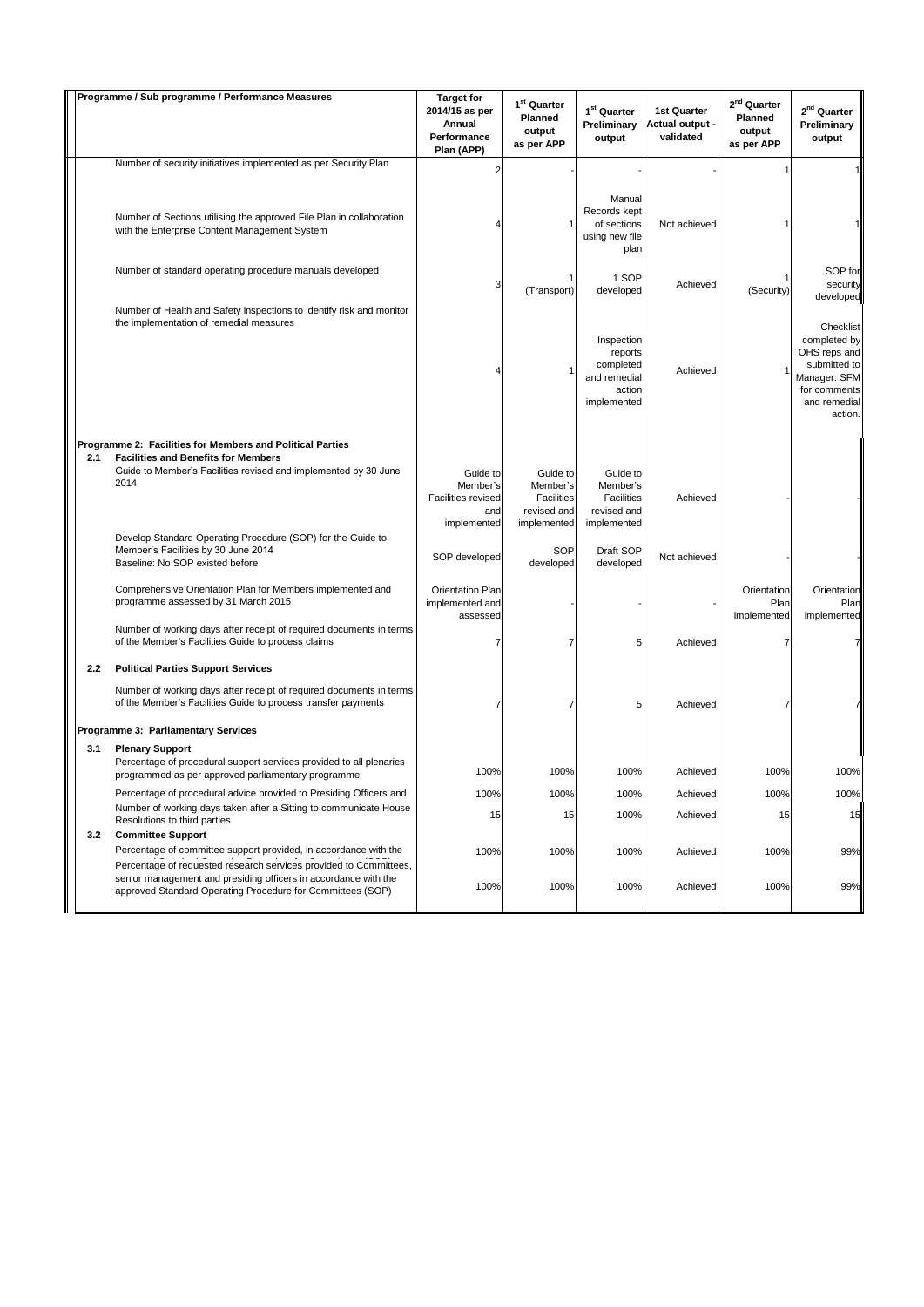|     | Programme / Sub programme / Performance Measures                                                                                                                                  | <b>Target for</b><br>2014/15 as per<br>Annual<br>Performance<br>Plan (APP) | 1 <sup>st</sup> Quarter<br>Planned<br>output<br>as per APP              | 1 <sup>st</sup> Quarter<br>Preliminary<br>output                        | <b>1st Quarter</b><br><b>Actual output -</b><br>validated | $2nd$ Quarter<br>Planned<br>output<br>as per APP | 2 <sup>nd</sup> Quarter<br>Preliminary<br>output                                                          |
|-----|-----------------------------------------------------------------------------------------------------------------------------------------------------------------------------------|----------------------------------------------------------------------------|-------------------------------------------------------------------------|-------------------------------------------------------------------------|-----------------------------------------------------------|--------------------------------------------------|-----------------------------------------------------------------------------------------------------------|
|     | Number of security initiatives implemented as per Security Plan                                                                                                                   | $\overline{2}$                                                             |                                                                         |                                                                         |                                                           |                                                  |                                                                                                           |
|     | Number of Sections utilising the approved File Plan in collaboration<br>with the Enterprise Content Management System                                                             | 4                                                                          |                                                                         | Manual<br>Records kept<br>of sections<br>using new file<br>plan         | Not achieved                                              |                                                  |                                                                                                           |
|     | Number of standard operating procedure manuals developed                                                                                                                          | 3                                                                          | (Transport)                                                             | 1 SOP<br>developed                                                      | Achieved                                                  | (Security)                                       | SOP for<br>security<br>developed                                                                          |
|     | Number of Health and Safety inspections to identify risk and monitor<br>the implementation of remedial measures                                                                   | Δ                                                                          |                                                                         | Inspection<br>reports<br>completed<br>and remedial<br>action            | Achieved                                                  | 1                                                | Checklist<br>completed by<br>OHS reps and<br>submitted to<br>Manager: SFM<br>for comments<br>and remedial |
|     | Programme 2: Facilities for Members and Political Parties                                                                                                                         |                                                                            |                                                                         | implemented                                                             |                                                           |                                                  | action.                                                                                                   |
| 2.1 | <b>Facilities and Benefits for Members</b><br>Guide to Member's Facilities revised and implemented by 30 June<br>2014                                                             | Guide to<br>Member's<br><b>Facilities revised</b><br>and<br>implemented    | Guide to<br>Member's<br><b>Facilities</b><br>revised and<br>implemented | Guide to<br>Member's<br><b>Facilities</b><br>revised and<br>implemented | Achieved                                                  |                                                  |                                                                                                           |
|     | Develop Standard Operating Procedure (SOP) for the Guide to<br>Member's Facilities by 30 June 2014<br>Baseline: No SOP existed before                                             | SOP developed                                                              | SOP<br>developed                                                        | Draft SOP<br>developed                                                  | Not achieved                                              |                                                  |                                                                                                           |
|     | Comprehensive Orientation Plan for Members implemented and<br>programme assessed by 31 March 2015                                                                                 | <b>Orientation Plan</b><br>implemented and<br>assessed                     |                                                                         |                                                                         |                                                           | Orientation<br>Plan<br>implemented               | Orientation<br>Plan<br>implemented                                                                        |
|     | Number of working days after receipt of required documents in terms<br>of the Member's Facilities Guide to process claims                                                         | 7                                                                          |                                                                         | 5                                                                       | Achieved                                                  | $\overline{7}$                                   |                                                                                                           |
| 2.2 | <b>Political Parties Support Services</b><br>Number of working days after receipt of required documents in terms<br>of the Member's Facilities Guide to process transfer payments | 7                                                                          |                                                                         | 5                                                                       | Achieved                                                  | $\overline{7}$                                   |                                                                                                           |
|     | <b>Programme 3: Parliamentary Services</b>                                                                                                                                        |                                                                            |                                                                         |                                                                         |                                                           |                                                  |                                                                                                           |
| 3.1 | <b>Plenary Support</b><br>Percentage of procedural support services provided to all plenaries<br>programmed as per approved parliamentary programme                               | 100%                                                                       | 100%                                                                    | 100%                                                                    | Achieved                                                  | 100%                                             | 100%                                                                                                      |
|     | Percentage of procedural advice provided to Presiding Officers and<br>Number of working days taken after a Sitting to communicate House<br>Resolutions to third parties           | 100%<br>15                                                                 | 100%<br>15                                                              | 100%<br>100%                                                            | Achieved<br>Achieved                                      | 100%<br>15                                       | 100%<br>15                                                                                                |
| 3.2 | <b>Committee Support</b><br>Percentage of committee support provided, in accordance with the<br>Percentage of requested research services provided to Committees,                 | 100%                                                                       | 100%                                                                    | 100%                                                                    | Achieved                                                  | 100%                                             | 99%                                                                                                       |
|     | senior management and presiding officers in accordance with the<br>approved Standard Operating Procedure for Committees (SOP)                                                     | 100%                                                                       | 100%                                                                    | 100%                                                                    | Achieved                                                  | 100%                                             | 99%                                                                                                       |